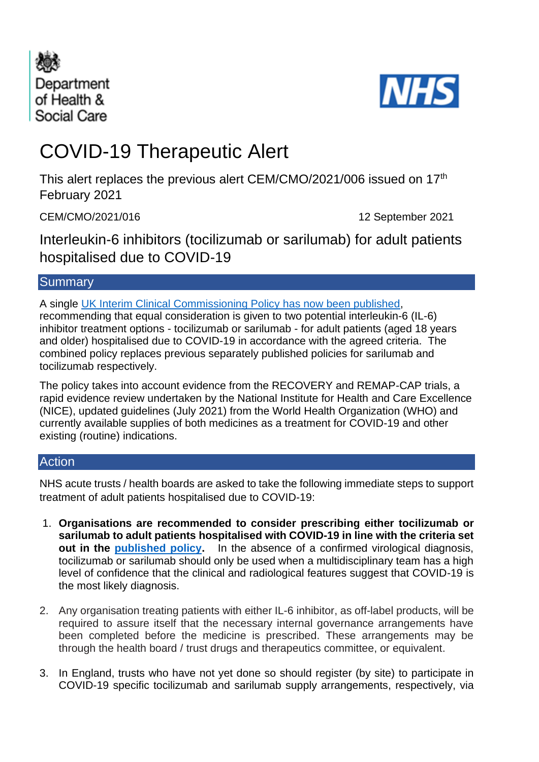



# COVID-19 Therapeutic Alert

This alert replaces the previous alert CEM/CMO/2021/006 issued on 17<sup>th</sup> February 2021

CEM/CMO/2021/016 12 September 2021

Interleukin-6 inhibitors (tocilizumab or sarilumab) for adult patients hospitalised due to COVID-19

# **Summary**

A single [UK Interim Clinical Commissioning Policy](https://www.cas.mhra.gov.uk/ViewandAcknowledgment/ViewAlert.aspx?AlertID=103173) has now been published, recommending that equal consideration is given to two potential interleukin-6 (IL-6) inhibitor treatment options - tocilizumab or sarilumab - for adult patients (aged 18 years and older) hospitalised due to COVID-19 in accordance with the agreed criteria. The combined policy replaces previous separately published policies for sarilumab and tocilizumab respectively.

The policy takes into account evidence from the RECOVERY and REMAP-CAP trials, a rapid evidence review undertaken by the National Institute for Health and Care Excellence (NICE), updated guidelines (July 2021) from the World Health Organization (WHO) and currently available supplies of both medicines as a treatment for COVID-19 and other existing (routine) indications.

# **Action**

NHS acute trusts / health boards are asked to take the following immediate steps to support treatment of adult patients hospitalised due to COVID-19:

- 1. **Organisations are recommended to consider prescribing either tocilizumab or sarilumab to adult patients hospitalised with COVID-19 in line with the criteria set out in the [published policy.](https://www.cas.mhra.gov.uk/ViewandAcknowledgment/ViewAlert.aspx?AlertID=103173)** In the absence of a confirmed virological diagnosis, tocilizumab or sarilumab should only be used when a multidisciplinary team has a high level of confidence that the clinical and radiological features suggest that COVID-19 is the most likely diagnosis.
- 2. Any organisation treating patients with either IL-6 inhibitor, as off-label products, will be required to assure itself that the necessary internal governance arrangements have been completed before the medicine is prescribed. These arrangements may be through the health board / trust drugs and therapeutics committee, or equivalent.
- 3. In England, trusts who have not yet done so should register (by site) to participate in COVID-19 specific tocilizumab and sarilumab supply arrangements, respectively, via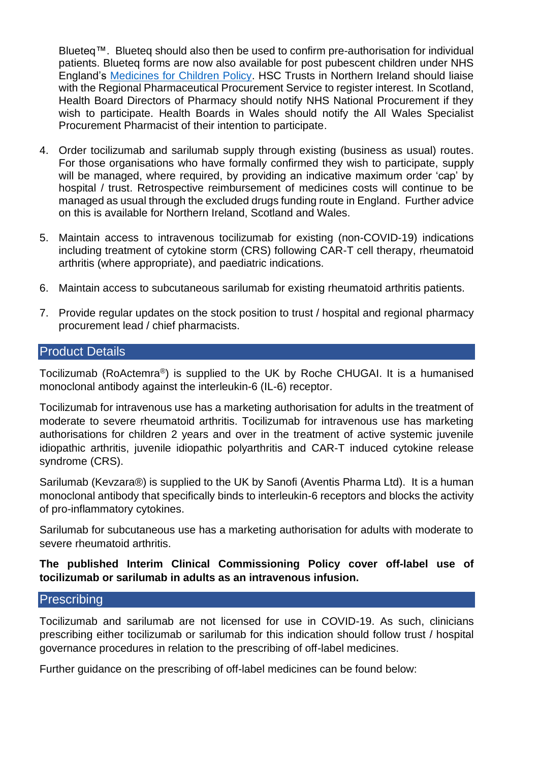Blueteq™. Blueteq should also then be used to confirm pre-authorisation for individual patients. Blueteq forms are now also available for post pubescent children under NHS England's [Medicines for Children Policy.](https://www.england.nhs.uk/publication/commissioning-medicines-for-children-specialised-services/) HSC Trusts in Northern Ireland should liaise with the Regional Pharmaceutical Procurement Service to register interest. In Scotland, Health Board Directors of Pharmacy should notify NHS National Procurement if they wish to participate. Health Boards in Wales should notify the All Wales Specialist Procurement Pharmacist of their intention to participate.

- 4. Order tocilizumab and sarilumab supply through existing (business as usual) routes. For those organisations who have formally confirmed they wish to participate, supply will be managed, where required, by providing an indicative maximum order 'cap' by hospital / trust. Retrospective reimbursement of medicines costs will continue to be managed as usual through the excluded drugs funding route in England. Further advice on this is available for Northern Ireland, Scotland and Wales.
- 5. Maintain access to intravenous tocilizumab for existing (non-COVID-19) indications including treatment of cytokine storm (CRS) following CAR-T cell therapy, rheumatoid arthritis (where appropriate), and paediatric indications.
- 6. Maintain access to subcutaneous sarilumab for existing rheumatoid arthritis patients.
- 7. Provide regular updates on the stock position to trust / hospital and regional pharmacy procurement lead / chief pharmacists.

## Product Details

Tocilizumab (RoActemra®) is supplied to the UK by Roche CHUGAI. It is a humanised monoclonal antibody against the interleukin-6 (IL-6) receptor.

Tocilizumab for intravenous use has a marketing authorisation for adults in the treatment of moderate to severe rheumatoid arthritis. Tocilizumab for intravenous use has marketing authorisations for children 2 years and over in the treatment of active systemic juvenile idiopathic arthritis, juvenile idiopathic polyarthritis and CAR-T induced cytokine release syndrome (CRS).

Sarilumab (Kevzara®) is supplied to the UK by Sanofi (Aventis Pharma Ltd). It is a human monoclonal antibody that specifically binds to interleukin-6 receptors and blocks the activity of pro-inflammatory cytokines.

Sarilumab for subcutaneous use has a marketing authorisation for adults with moderate to severe rheumatoid arthritis.

## **The published Interim Clinical Commissioning Policy cover off-label use of tocilizumab or sarilumab in adults as an intravenous infusion.**

# **Prescribing**

Tocilizumab and sarilumab are not licensed for use in COVID-19. As such, clinicians prescribing either tocilizumab or sarilumab for this indication should follow trust / hospital governance procedures in relation to the prescribing of off-label medicines.

Further guidance on the prescribing of off-label medicines can be found below: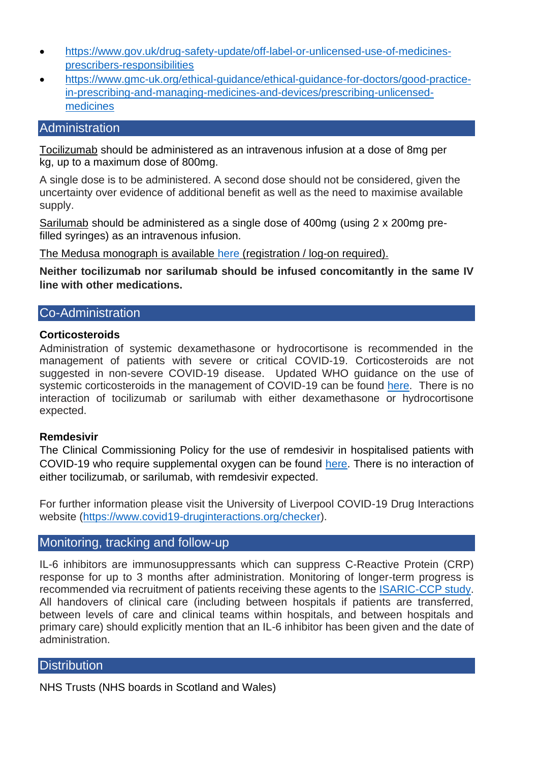- [https://www.gov.uk/drug-safety-update/off-label-or-unlicensed-use-of-medicines](https://www.gov.uk/drug-safety-update/off-label-or-unlicensed-use-of-medicines-prescribers-responsibilities)[prescribers-responsibilities](https://www.gov.uk/drug-safety-update/off-label-or-unlicensed-use-of-medicines-prescribers-responsibilities)
- [https://www.gmc-uk.org/ethical-guidance/ethical-guidance-for-doctors/good-practice](https://urldefense.proofpoint.com/v2/url?u=https-3A__www.gmc-2Duk.org_ethical-2Dguidance_ethical-2Dguidance-2Dfor-2Ddoctors_good-2Dpractice-2Din-2Dprescribing-2Dand-2Dmanaging-2Dmedicines-2Dand-2Ddevices_prescribing-2Dunlicensed-2Dmedicines&d=DwMGaQ&c=bXyEFqpHx20PVepeYtwgeyo6Hxa8iNFcGZACCQj1uNM&r=n6zCA1McNWvCqdYeP5pNyDKOMLB6xn-Ny00SahPudjI&m=ktsMQhrbHz8VmoAZKRy0YQ-aSecQW0OQt4XKOiK3Hpg&s=k-1PtoSDMfm91idMawrLspH6LWpSFchSdvKt8qzNnyU&e=)[in-prescribing-and-managing-medicines-and-devices/prescribing-unlicensed](https://urldefense.proofpoint.com/v2/url?u=https-3A__www.gmc-2Duk.org_ethical-2Dguidance_ethical-2Dguidance-2Dfor-2Ddoctors_good-2Dpractice-2Din-2Dprescribing-2Dand-2Dmanaging-2Dmedicines-2Dand-2Ddevices_prescribing-2Dunlicensed-2Dmedicines&d=DwMGaQ&c=bXyEFqpHx20PVepeYtwgeyo6Hxa8iNFcGZACCQj1uNM&r=n6zCA1McNWvCqdYeP5pNyDKOMLB6xn-Ny00SahPudjI&m=ktsMQhrbHz8VmoAZKRy0YQ-aSecQW0OQt4XKOiK3Hpg&s=k-1PtoSDMfm91idMawrLspH6LWpSFchSdvKt8qzNnyU&e=)[medicines](https://urldefense.proofpoint.com/v2/url?u=https-3A__www.gmc-2Duk.org_ethical-2Dguidance_ethical-2Dguidance-2Dfor-2Ddoctors_good-2Dpractice-2Din-2Dprescribing-2Dand-2Dmanaging-2Dmedicines-2Dand-2Ddevices_prescribing-2Dunlicensed-2Dmedicines&d=DwMGaQ&c=bXyEFqpHx20PVepeYtwgeyo6Hxa8iNFcGZACCQj1uNM&r=n6zCA1McNWvCqdYeP5pNyDKOMLB6xn-Ny00SahPudjI&m=ktsMQhrbHz8VmoAZKRy0YQ-aSecQW0OQt4XKOiK3Hpg&s=k-1PtoSDMfm91idMawrLspH6LWpSFchSdvKt8qzNnyU&e=)

## **Administration**

Tocilizumab should be administered as an intravenous infusion at a dose of 8mg per kg, up to a maximum dose of 800mg.

A single dose is to be administered. A second dose should not be considered, given the uncertainty over evidence of additional benefit as well as the need to maximise available supply.

Sarilumab should be administered as a single dose of 400mg (using 2 x 200mg prefilled syringes) as an intravenous infusion.

The Medusa monograph is available [here](https://medusa.wales.nhs.uk/IVGuideDisplayNewFormat.asp?Drugno=4222) (registration / log-on required).

**Neither tocilizumab nor sarilumab should be infused concomitantly in the same IV line with other medications.**

# Co-Administration

#### **Corticosteroids**

Administration of systemic dexamethasone or hydrocortisone is recommended in the management of patients with severe or critical COVID-19. Corticosteroids are not suggested in non-severe COVID-19 disease. Updated WHO guidance on the use of systemic corticosteroids in the management of COVID-19 can be found [here.](https://www.who.int/publications/i/item/WHO-2019-nCoV-Corticosteroids-2020.1) There is no interaction of tocilizumab or sarilumab with either dexamethasone or hydrocortisone expected.

#### **Remdesivir**

The Clinical Commissioning Policy for the use of remdesivir in hospitalised patients with COVID-19 who require supplemental oxygen can be found [here.](https://www.england.nhs.uk/coronavirus/wp-content/uploads/sites/52/2020/07/C0860-clinical-commissioning-policy-remdesivir-for-people-hospitalised-with-covid-19-v2-.pdf) There is no interaction of either tocilizumab, or sarilumab, with remdesivir expected.

For further information please visit the University of Liverpool COVID-19 Drug Interactions website [\(https://www.covid19-druginteractions.org/checker\)](https://www.covid19-druginteractions.org/checker).

# Monitoring, tracking and follow-up

IL-6 inhibitors are immunosuppressants which can suppress C-Reactive Protein (CRP) response for up to 3 months after administration. Monitoring of longer-term progress is recommended via recruitment of patients receiving these agents to the [ISARIC-CCP study.](https://isaric4c.net/) All handovers of clinical care (including between hospitals if patients are transferred, between levels of care and clinical teams within hospitals, and between hospitals and primary care) should explicitly mention that an IL-6 inhibitor has been given and the date of administration.

#### **Distribution**

NHS Trusts (NHS boards in Scotland and Wales)